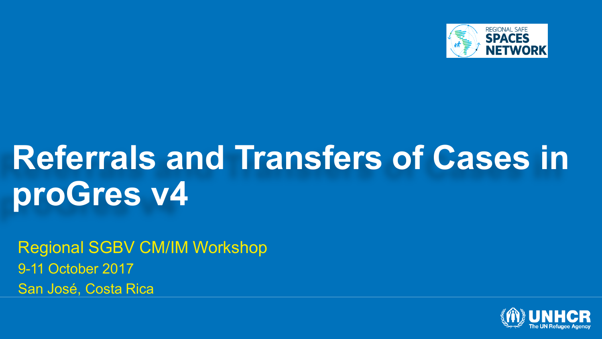

# **Referrals and Transfers of Cases in proGres v4**

Regional SGBV CM/IM Workshop 9-11 October 2017 San José, Costa Rica

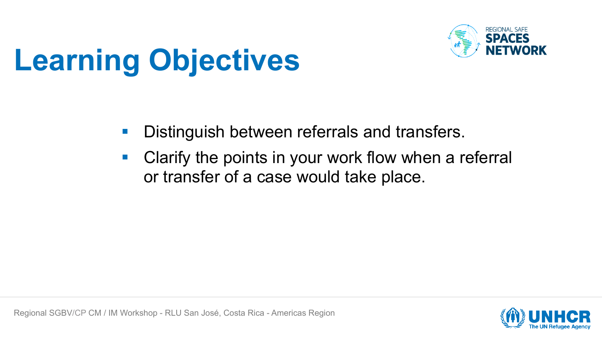

# **Learning Objectives**

- **Distinguish between referrals and transfers.**
- Clarify the points in your work flow when a referral or transfer of a case would take place.

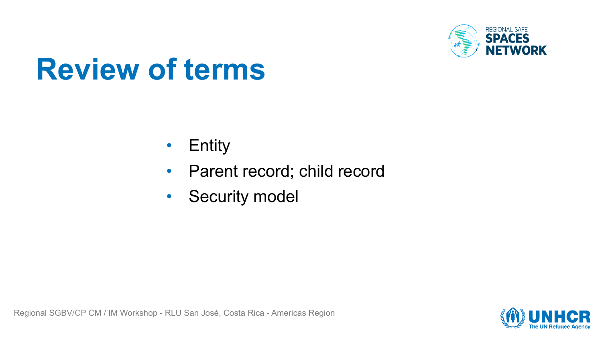

## **Review of terms**

- Entity
- Parent record; child record
- Security model

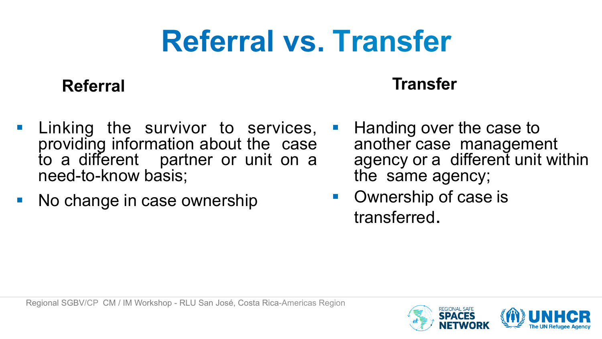# **Referral vs. Transfer**

#### **Referral**

#### **Transfer**

- Linking the survivor to services, providing information about the case to a different partner or unit on a need-to-know basis;
- No change in case ownership
- Handing over the case to another case management agency or a different unit within the same agency;
- Ownership of case is transferred.

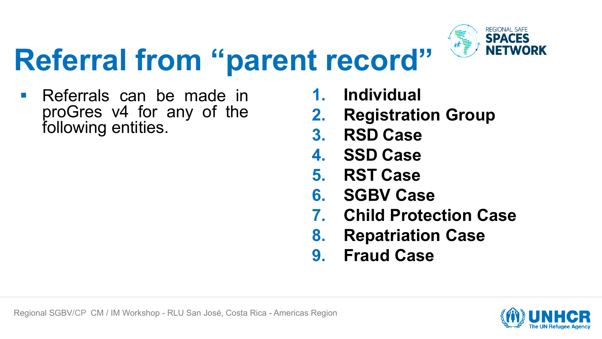

# **Referral from "parent record"**

■ Referrals can be made in proGres v4 for any of the following entities.

- **1. Individual**
- **2. Registration Group**
- **3. RSD Case**
- **4. SSD Case**
- **5. RST Case**
- **6. SGBV Case**
- **7. Child Protection Case**
- **8. Repatriation Case**
- **9. Fraud Case**

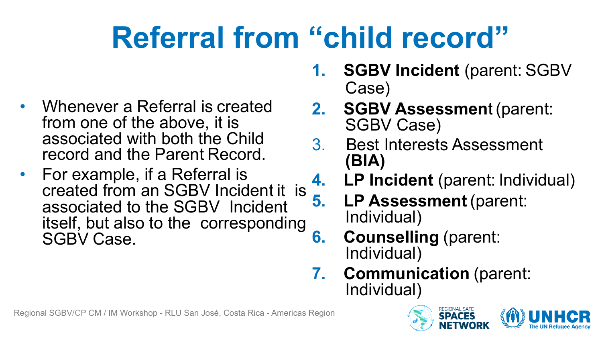# **Referral from "child record"**

- Whenever a Referral is created from one of the above, it is associated with both the Child record and the Parent Record.
- For example, if a Referral is Tor example, if a Referral is<br>created from an SGBV Incident it is  $\frac{4}{5}$ . associated to the SGBV Incident itself, but also to the corresponding SGBV Case.
- **1. SGBV Incident** (parent: SGBV Case)
- **2. SGBV Assessmen**t (parent: SGBV Case)
- 3. Best Interests Assessment **(BIA)**
	- **4. LP Incident** (parent: Individual)
		- **5. LP Assessment** (parent: Individual)
- **6. Counselling** (parent: Individual)
- **7. Communication** (parent: Individual)



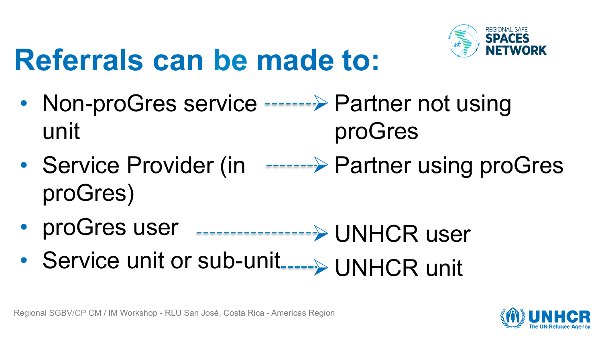

# **Referrals can be made to:**

- Non-proGres service -------> Partner not using unit proGres
- Service Provider (in -------> Partner using proGres proGres)
- proGres user Ø UNHCR user
- Service unit or sub-unit Ø UNHCR unit

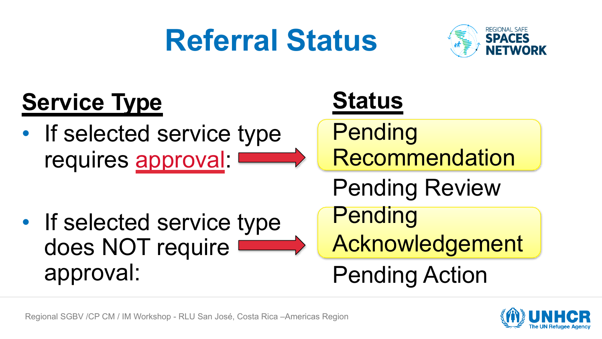## **Referral Status**



#### **Status Pending Recommendation** Pending Review **Pending** Acknowledgement Pending Action **Service Type** • If selected service type requires approval: • If selected service type does NOT require approval:



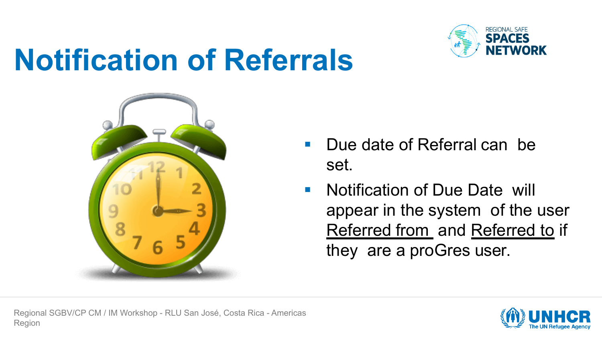

## **Notification of Referrals**



- § Due date of Referral can be set.
- Notification of Due Date will appear in the system of the user Referred from and Referred to if they are a proGres user.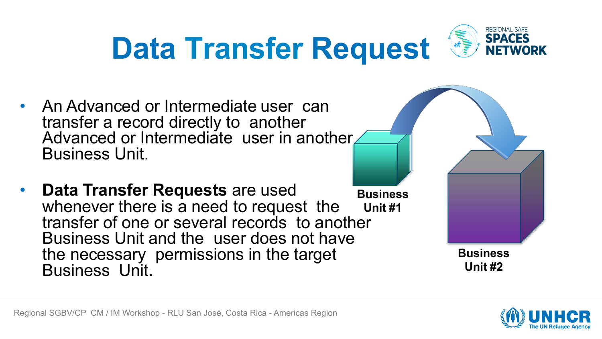# **Data Transfer Request**



- An Advanced or Intermediate user can transfer a record directly to another Advanced or Intermediate user in another. Business Unit.
- **Data Transfer Requests** are used whenever there is a need to request the transfer of one or several records to another Business Unit and the user does not have the necessary permissions in the target Business Unit. **Business Unit #1**

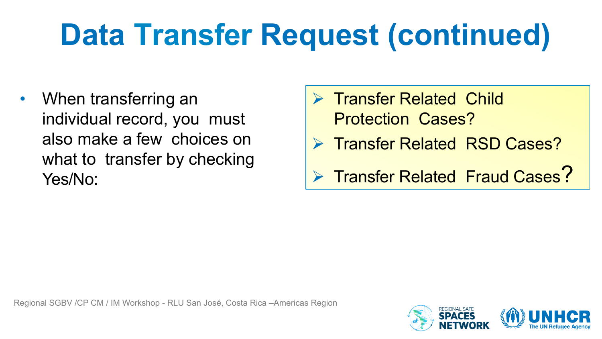# **Data Transfer Request (continued)**

• When transferring an individual record, you must also make a few choices on what to transfer by checking Yes/No:

- **Transfer Related Child** Protection Cases?
- Ø Transfer Related RSD Cases?

Ø Transfer Related Fraud Cases?

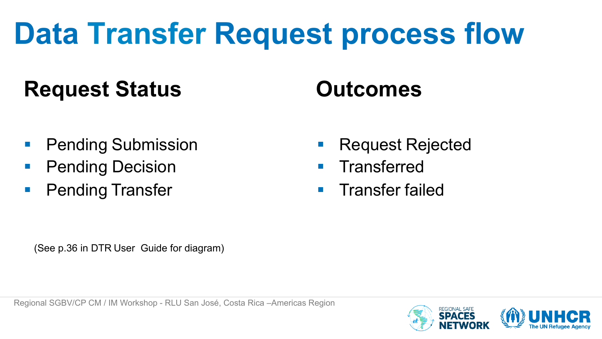# **Data Transfer Request process flow**

#### **Request Status Outcomes**

- § Pending Submission
- **Pending Decision**
- § Pending Transfer
- § Request Rejected
- **•** Transferred
- **•** Transfer failed

(See p.36 in DTR User Guide for diagram)

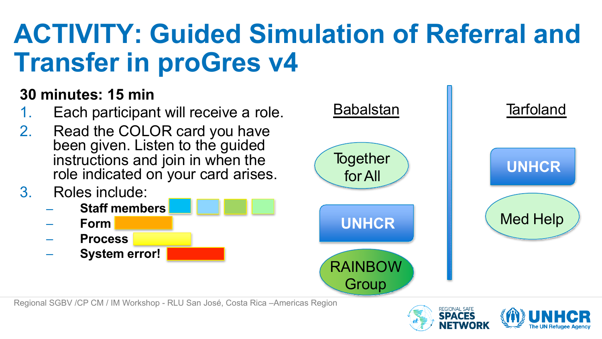### **ACTIVITY: Guided Simulation of Referral and Transfer in proGres v4**

#### **30 minutes: 15 min**

- 1. Each participant will receive a role.
- 2. Read the COLOR card you have been given. Listen to the guided instructions and join in when the role indicated on your card arises.
- 3. Roles include:
	- **Staff members** –
	- **Form** –
	- **Process**
	- **System error!**



Regional SGBV /CP CM / IM Workshop - RLU San José, Costa Rica –Americas Region

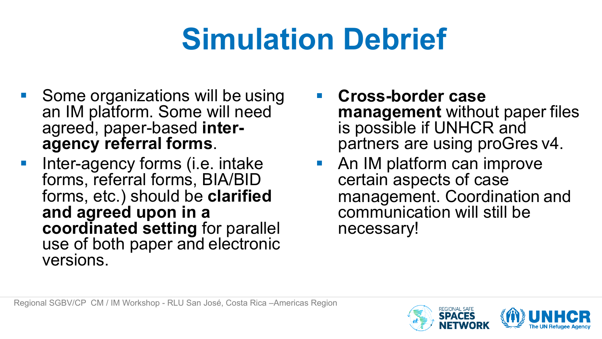# **Simulation Debrief**

- § Some organizations will be using an IM platform. Some will need agreed, paper-based **interagency referral forms**.
- § Inter-agency forms (i.e. intake forms, referral forms, BIA/BID forms, etc.) should be **clarified and agreed upon in a coordinated setting** for parallel use of both paper and electronic versions.
- § **Cross-border case management** without paper files is possible if UNHCR and partners are using proGres v4.
- An IM platform can improve certain aspects of case management. Coordination and communication will still be necessary!

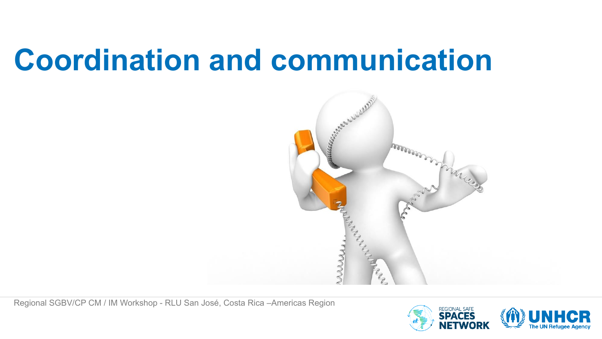## **Coordination and communication**



Regional SGBV/CP CM / IM Workshop - RLU San José, Costa Rica –Americas Region